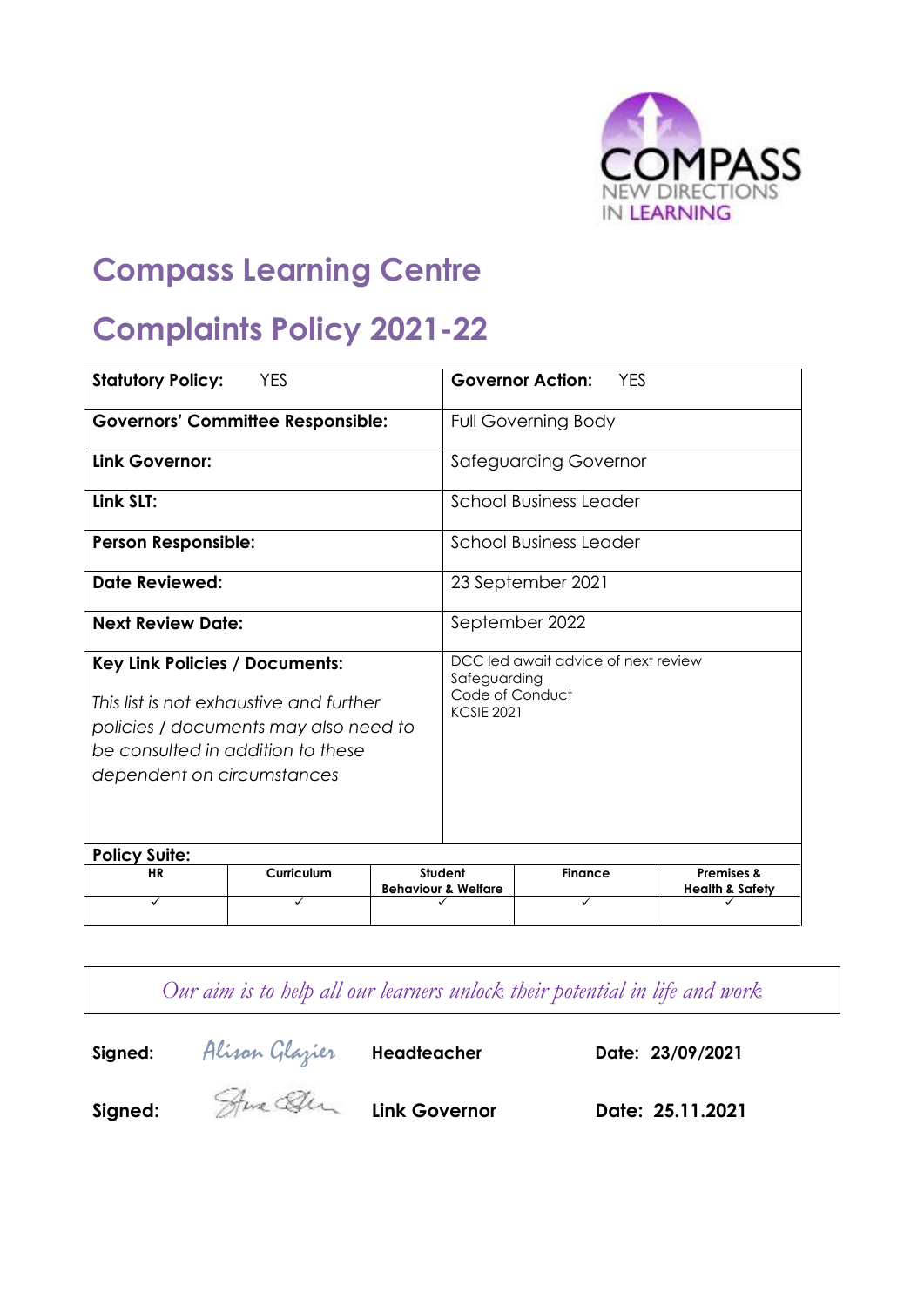

# **Compass Learning Centre**

# **Complaints Policy 2021-22**

| <b>Statutory Policy:</b>                                                                                                                                                                     | <b>YES</b> |                                                                                             | <b>Governor Action:</b><br><b>YES</b>     |                |                                                     |
|----------------------------------------------------------------------------------------------------------------------------------------------------------------------------------------------|------------|---------------------------------------------------------------------------------------------|-------------------------------------------|----------------|-----------------------------------------------------|
| <b>Governors' Committee Responsible:</b>                                                                                                                                                     |            | <b>Full Governing Body</b>                                                                  |                                           |                |                                                     |
| Link Governor:                                                                                                                                                                               |            | <b>Safeguarding Governor</b>                                                                |                                           |                |                                                     |
| Link SLT:                                                                                                                                                                                    |            | <b>School Business Leader</b>                                                               |                                           |                |                                                     |
| <b>Person Responsible:</b>                                                                                                                                                                   |            | School Business Leader                                                                      |                                           |                |                                                     |
| Date Reviewed:                                                                                                                                                                               |            | 23 September 2021                                                                           |                                           |                |                                                     |
| <b>Next Review Date:</b>                                                                                                                                                                     |            | September 2022                                                                              |                                           |                |                                                     |
| <b>Key Link Policies / Documents:</b><br>This list is not exhaustive and further<br>policies / documents may also need to<br>be consulted in addition to these<br>dependent on circumstances |            | DCC led await advice of next review<br>Safeguarding<br>Code of Conduct<br><b>KCSIE 2021</b> |                                           |                |                                                     |
| <b>Policy Suite:</b>                                                                                                                                                                         |            |                                                                                             |                                           |                |                                                     |
| <b>HR</b>                                                                                                                                                                                    | Curriculum |                                                                                             | Student<br><b>Behaviour &amp; Welfare</b> | <b>Finance</b> | <b>Premises &amp;</b><br><b>Health &amp; Safety</b> |
| ✓                                                                                                                                                                                            | ✓          |                                                                                             |                                           | ✓              |                                                     |

*Our aim is to help all our learners unlock their potential in life and work*

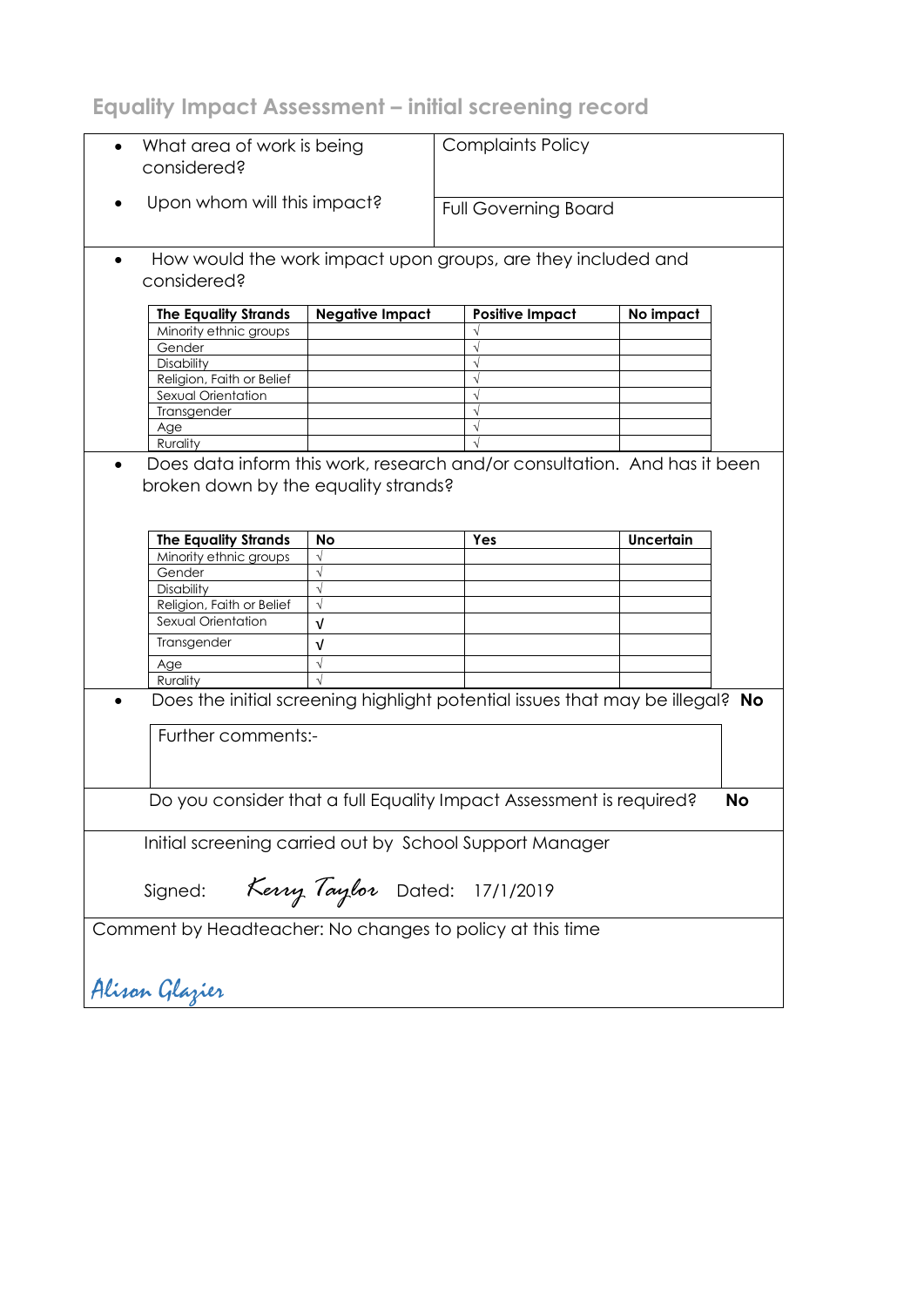**Equality Impact Assessment – initial screening record**

| What area of work is being<br>$\bullet$<br>considered?    |                               | <b>Complaints Policy</b>                                                      |                             |  |  |
|-----------------------------------------------------------|-------------------------------|-------------------------------------------------------------------------------|-----------------------------|--|--|
|                                                           | Upon whom will this impact?   |                                                                               | <b>Full Governing Board</b> |  |  |
| considered?                                               |                               | How would the work impact upon groups, are they included and                  |                             |  |  |
| <b>The Equality Strands</b>                               | <b>Negative Impact</b>        | <b>Positive Impact</b>                                                        | No impact                   |  |  |
| Minority ethnic groups                                    |                               |                                                                               |                             |  |  |
| Gender                                                    |                               |                                                                               |                             |  |  |
| Disability                                                |                               |                                                                               |                             |  |  |
| Religion, Faith or Belief                                 |                               |                                                                               |                             |  |  |
| Sexual Orientation                                        |                               |                                                                               |                             |  |  |
| Transgender                                               |                               |                                                                               |                             |  |  |
| Age                                                       |                               |                                                                               |                             |  |  |
| Rurality                                                  |                               |                                                                               |                             |  |  |
| broken down by the equality strands?                      |                               |                                                                               |                             |  |  |
| <b>The Equality Strands</b>                               | No                            | Yes                                                                           | <b>Uncertain</b>            |  |  |
| Minority ethnic groups                                    |                               |                                                                               |                             |  |  |
| Gender                                                    |                               |                                                                               |                             |  |  |
| Disability<br>Religion, Faith or Belief                   |                               |                                                                               |                             |  |  |
| Sexual Orientation                                        |                               |                                                                               |                             |  |  |
|                                                           | v                             |                                                                               |                             |  |  |
| Transgender                                               | v                             |                                                                               |                             |  |  |
| Age                                                       |                               |                                                                               |                             |  |  |
| Rurality                                                  |                               |                                                                               |                             |  |  |
| Further comments:-                                        |                               | Does the initial screening highlight potential issues that may be illegal? No |                             |  |  |
|                                                           |                               | Do you consider that a full Equality Impact Assessment is required?           | No                          |  |  |
|                                                           |                               | Initial screening carried out by School Support Manager                       |                             |  |  |
| Signed:                                                   | Kerry Taylor Dated: 17/1/2019 |                                                                               |                             |  |  |
| Comment by Headteacher: No changes to policy at this time |                               |                                                                               |                             |  |  |
| Alisan Glazier                                            |                               |                                                                               |                             |  |  |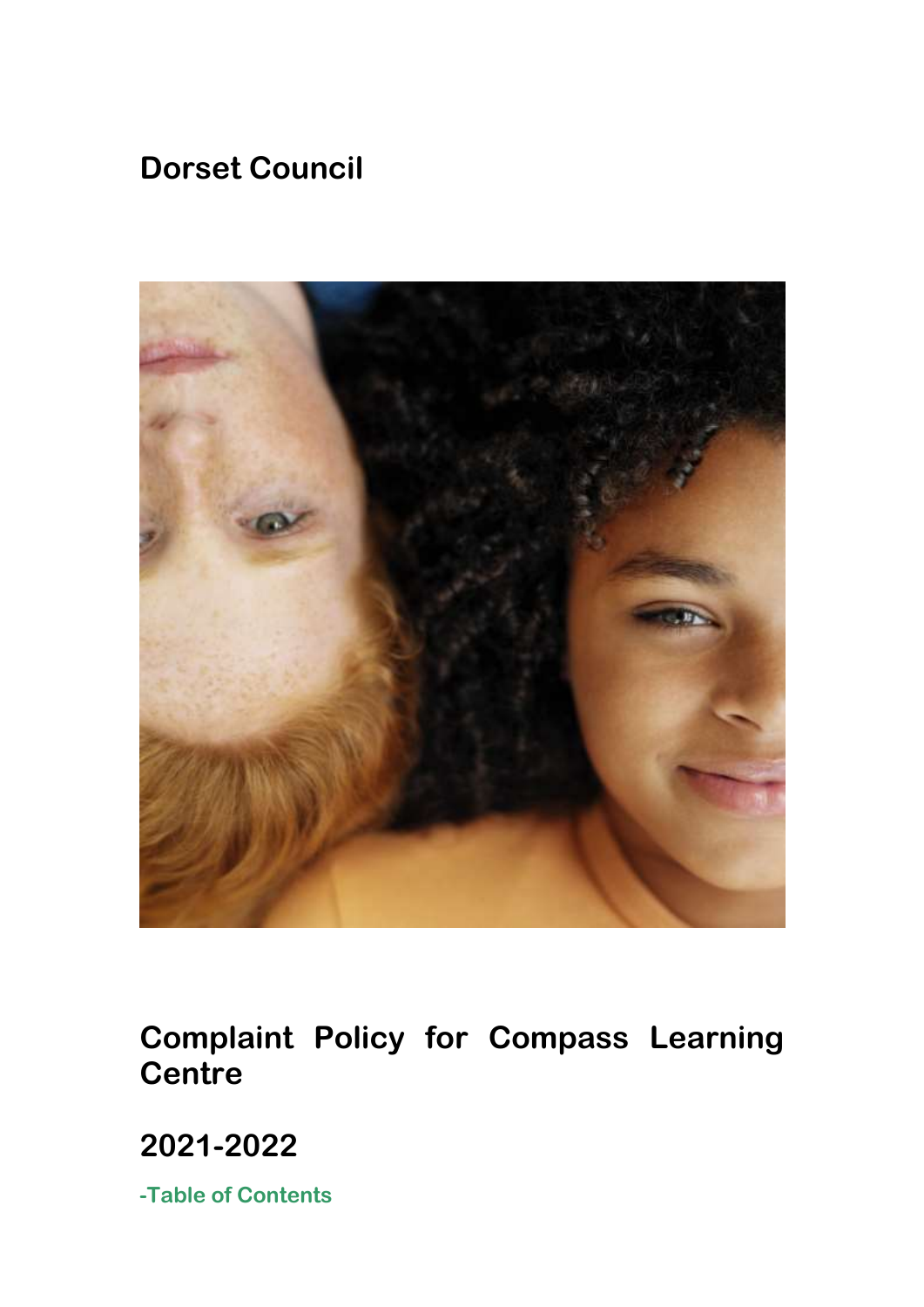# **Dorset Council**



**Complaint Policy for Compass Learning Centre**

**2021-2022**

**-Table of Contents**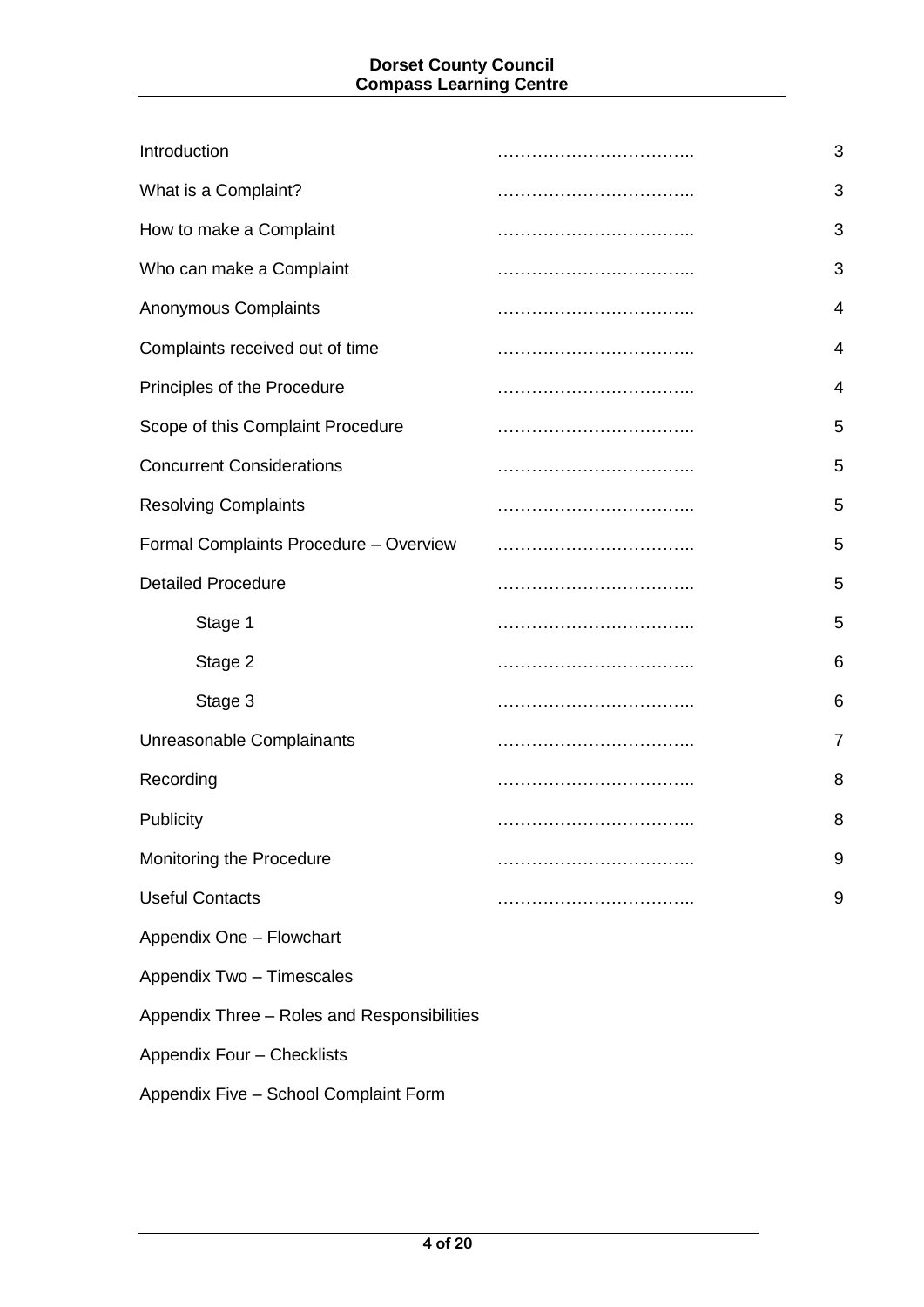### **Dorset County Council Compass Learning Centre**

| 3              |
|----------------|
| 3              |
| 3              |
| 3              |
| 4              |
| 4              |
| 4              |
| 5              |
| 5              |
| 5              |
| 5              |
| 5              |
| 5              |
| 6              |
| 6              |
| $\overline{7}$ |
| 8              |
| 8              |
| 9              |
| 9              |
|                |
|                |

Appendix Two – Timescales

Appendix Three – Roles and Responsibilities

Appendix Four – Checklists

Appendix Five – School Complaint Form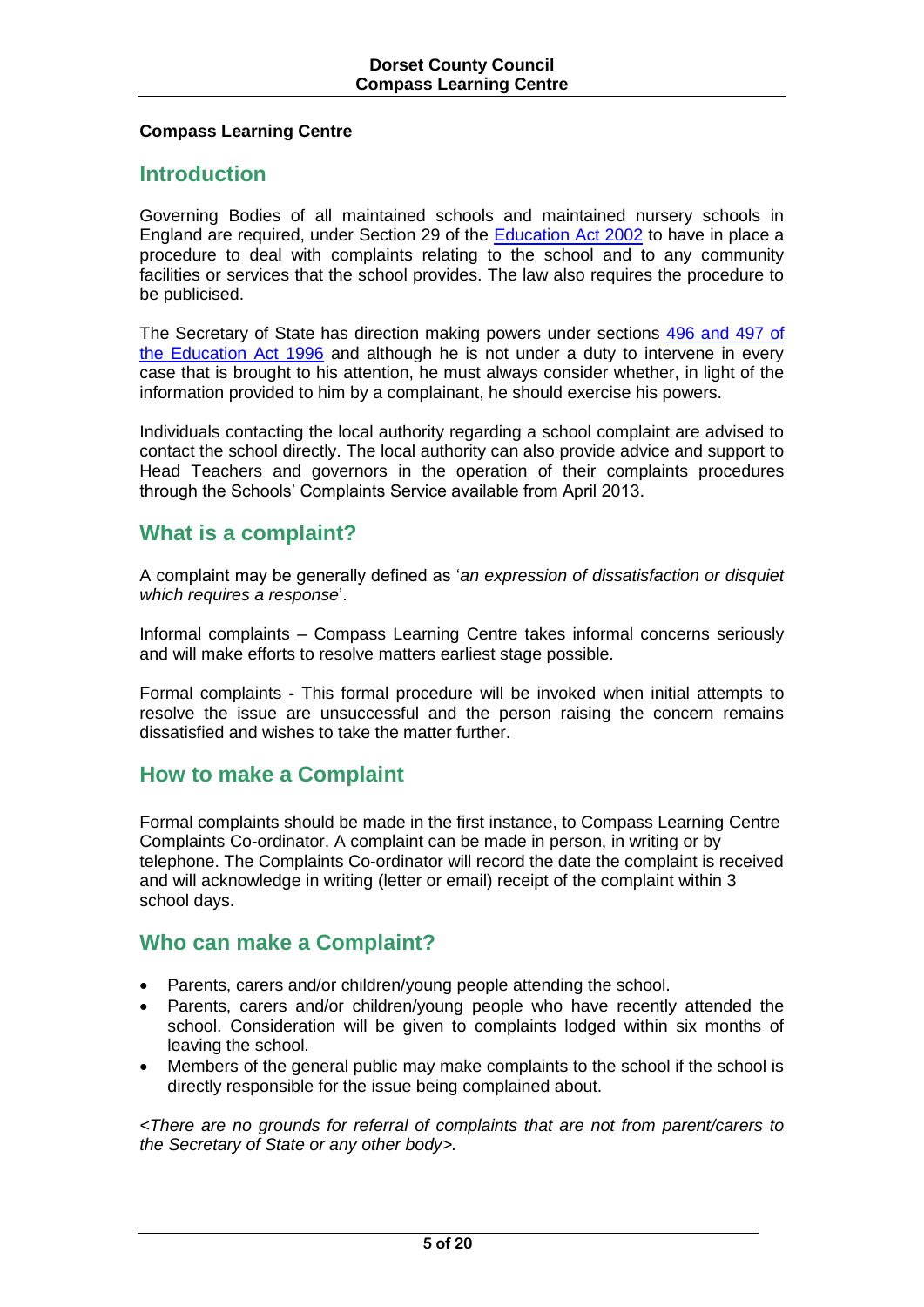### **Compass Learning Centre**

## **Introduction**

Governing Bodies of all maintained schools and maintained nursery schools in England are required, under Section 29 of the [Education Act 2002](http://www.legislation.gov.uk/ukpga/2002/32/contents) to have in place a procedure to deal with complaints relating to the school and to any community facilities or services that the school provides. The law also requires the procedure to be publicised.

The Secretary of State has direction making powers under sections [496 and 497 of](http://www.google.co.uk/search?hl=en&q=496+or+497+of+the+Education+Act+1996+&meta=)  [the Education Act 1996](http://www.google.co.uk/search?hl=en&q=496+or+497+of+the+Education+Act+1996+&meta=) and although he is not under a duty to intervene in every case that is brought to his attention, he must always consider whether, in light of the information provided to him by a complainant, he should exercise his powers.

Individuals contacting the local authority regarding a school complaint are advised to contact the school directly. The local authority can also provide advice and support to Head Teachers and governors in the operation of their complaints procedures through the Schools' Complaints Service available from April 2013.

# **What is a complaint?**

A complaint may be generally defined as '*an expression of dissatisfaction or disquiet which requires a response*'.

Informal complaints – Compass Learning Centre takes informal concerns seriously and will make efforts to resolve matters earliest stage possible.

Formal complaints **-** This formal procedure will be invoked when initial attempts to resolve the issue are unsuccessful and the person raising the concern remains dissatisfied and wishes to take the matter further.

# **How to make a Complaint**

Formal complaints should be made in the first instance, to Compass Learning Centre Complaints Co-ordinator. A complaint can be made in person, in writing or by telephone. The Complaints Co-ordinator will record the date the complaint is received and will acknowledge in writing (letter or email) receipt of the complaint within 3 school days.

## **Who can make a Complaint?**

- Parents, carers and/or children/young people attending the school.
- Parents, carers and/or children/young people who have recently attended the school. Consideration will be given to complaints lodged within six months of leaving the school.
- Members of the general public may make complaints to the school if the school is directly responsible for the issue being complained about.

*<There are no grounds for referral of complaints that are not from parent/carers to the Secretary of State or any other body>.*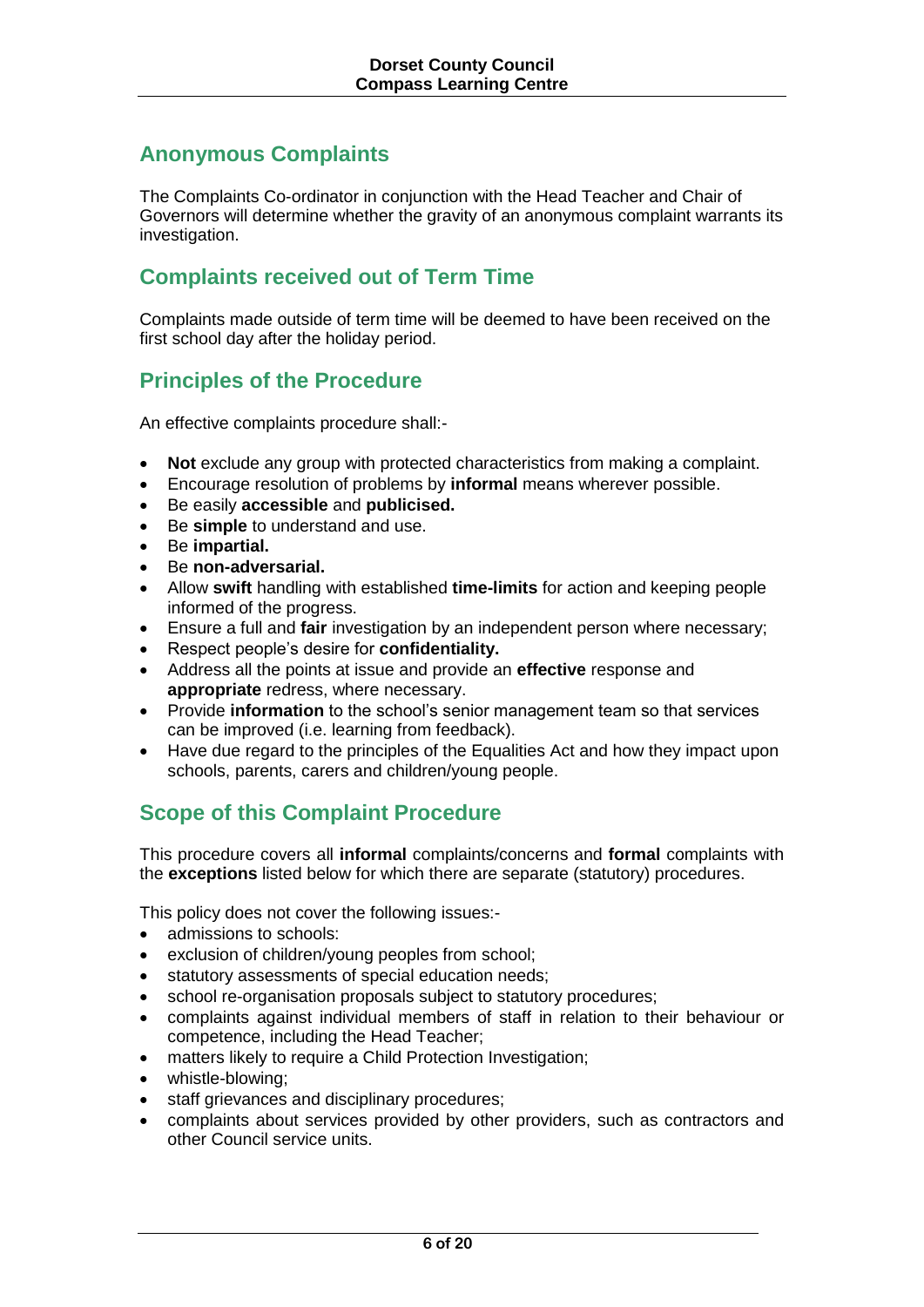# **Anonymous Complaints**

The Complaints Co-ordinator in conjunction with the Head Teacher and Chair of Governors will determine whether the gravity of an anonymous complaint warrants its investigation.

# **Complaints received out of Term Time**

Complaints made outside of term time will be deemed to have been received on the first school day after the holiday period.

# **Principles of the Procedure**

An effective complaints procedure shall:-

- **Not** exclude any group with protected characteristics from making a complaint.
- Encourage resolution of problems by **informal** means wherever possible.
- Be easily **accessible** and **publicised.**
- Be **simple** to understand and use.
- Be **impartial.**
- Be **non-adversarial.**
- Allow **swift** handling with established **time-limits** for action and keeping people informed of the progress.
- Ensure a full and **fair** investigation by an independent person where necessary;
- Respect people's desire for **confidentiality.**
- Address all the points at issue and provide an **effective** response and **appropriate** redress, where necessary.
- Provide **information** to the school's senior management team so that services can be improved (i.e. learning from feedback).
- Have due regard to the principles of the Equalities Act and how they impact upon schools, parents, carers and children/young people.

# **Scope of this Complaint Procedure**

This procedure covers all **informal** complaints/concerns and **formal** complaints with the **exceptions** listed below for which there are separate (statutory) procedures.

This policy does not cover the following issues:-

- admissions to schools:
- exclusion of children/young peoples from school;
- statutory assessments of special education needs;
- school re-organisation proposals subject to statutory procedures;
- complaints against individual members of staff in relation to their behaviour or competence, including the Head Teacher;
- matters likely to require a Child Protection Investigation;
- whistle-blowing;
- staff grievances and disciplinary procedures;
- complaints about services provided by other providers, such as contractors and other Council service units.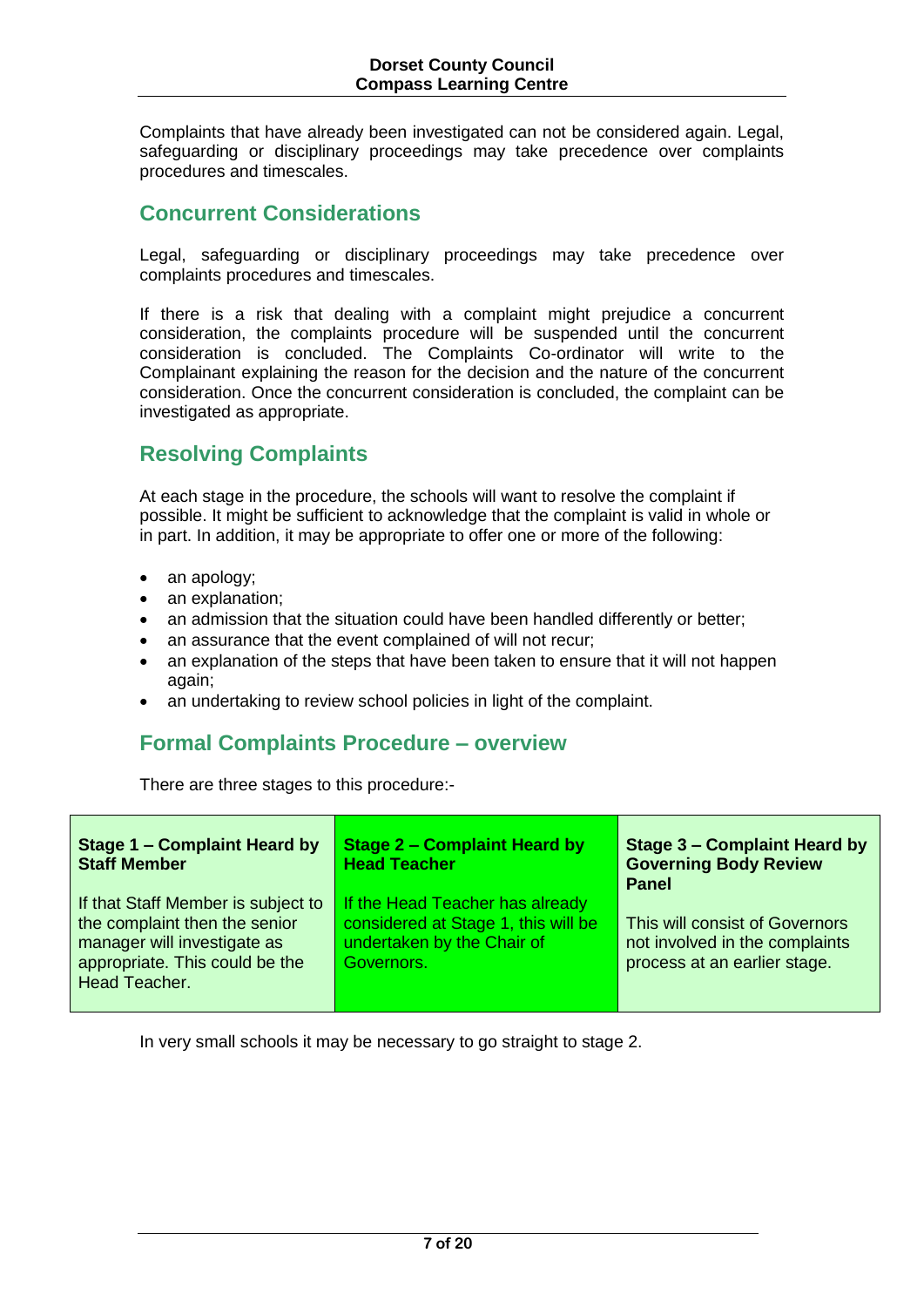Complaints that have already been investigated can not be considered again. Legal, safeguarding or disciplinary proceedings may take precedence over complaints procedures and timescales.

## **Concurrent Considerations**

Legal, safeguarding or disciplinary proceedings may take precedence over complaints procedures and timescales.

If there is a risk that dealing with a complaint might prejudice a concurrent consideration, the complaints procedure will be suspended until the concurrent consideration is concluded. The Complaints Co-ordinator will write to the Complainant explaining the reason for the decision and the nature of the concurrent consideration. Once the concurrent consideration is concluded, the complaint can be investigated as appropriate.

# **Resolving Complaints**

At each stage in the procedure, the schools will want to resolve the complaint if possible. It might be sufficient to acknowledge that the complaint is valid in whole or in part. In addition, it may be appropriate to offer one or more of the following:

- an apology:
- an explanation;
- an admission that the situation could have been handled differently or better;
- an assurance that the event complained of will not recur:
- an explanation of the steps that have been taken to ensure that it will not happen again;
- an undertaking to review school policies in light of the complaint.

# **Formal Complaints Procedure – overview**

There are three stages to this procedure:-

| Stage 1 - Complaint Heard by<br><b>Staff Member</b>                                                                                                   | Stage 2 – Complaint Heard by<br><b>Head Teacher</b>                                                                | <b>Stage 3 - Complaint Heard by</b><br><b>Governing Body Review</b><br><b>Panel</b>              |
|-------------------------------------------------------------------------------------------------------------------------------------------------------|--------------------------------------------------------------------------------------------------------------------|--------------------------------------------------------------------------------------------------|
| If that Staff Member is subject to<br>the complaint then the senior<br>manager will investigate as<br>appropriate. This could be the<br>Head Teacher. | If the Head Teacher has already<br>considered at Stage 1, this will be<br>undertaken by the Chair of<br>Governors. | This will consist of Governors<br>not involved in the complaints<br>process at an earlier stage. |

In very small schools it may be necessary to go straight to stage 2.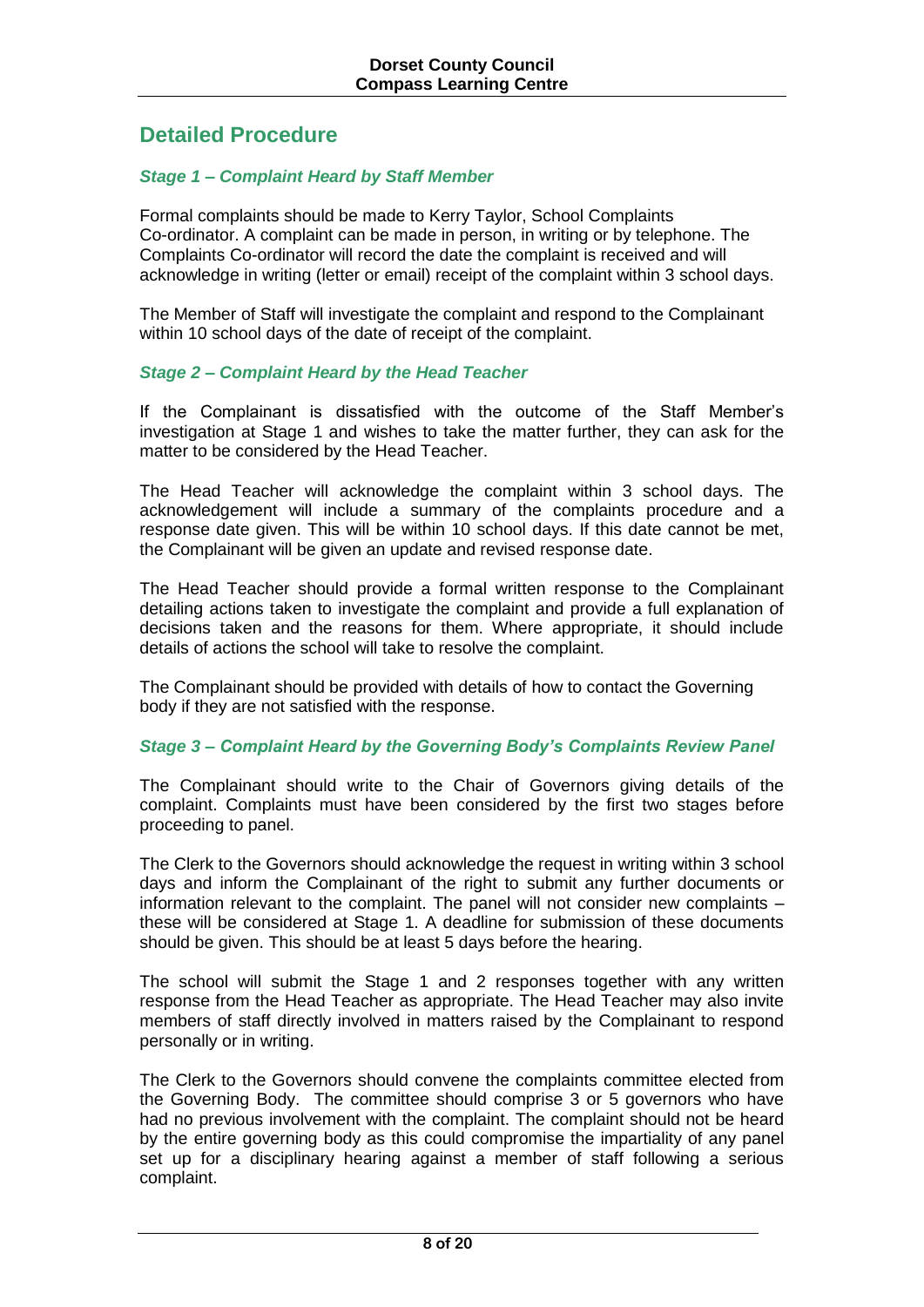# **Detailed Procedure**

### *Stage 1 – Complaint Heard by Staff Member*

Formal complaints should be made to Kerry Taylor, School Complaints Co-ordinator. A complaint can be made in person, in writing or by telephone. The Complaints Co-ordinator will record the date the complaint is received and will acknowledge in writing (letter or email) receipt of the complaint within 3 school days.

The Member of Staff will investigate the complaint and respond to the Complainant within 10 school days of the date of receipt of the complaint.

### *Stage 2 – Complaint Heard by the Head Teacher*

If the Complainant is dissatisfied with the outcome of the Staff Member's investigation at Stage 1 and wishes to take the matter further, they can ask for the matter to be considered by the Head Teacher.

The Head Teacher will acknowledge the complaint within 3 school days. The acknowledgement will include a summary of the complaints procedure and a response date given. This will be within 10 school days. If this date cannot be met, the Complainant will be given an update and revised response date.

The Head Teacher should provide a formal written response to the Complainant detailing actions taken to investigate the complaint and provide a full explanation of decisions taken and the reasons for them. Where appropriate, it should include details of actions the school will take to resolve the complaint.

The Complainant should be provided with details of how to contact the Governing body if they are not satisfied with the response.

#### *Stage 3 – Complaint Heard by the Governing Body's Complaints Review Panel*

The Complainant should write to the Chair of Governors giving details of the complaint. Complaints must have been considered by the first two stages before proceeding to panel.

The Clerk to the Governors should acknowledge the request in writing within 3 school days and inform the Complainant of the right to submit any further documents or information relevant to the complaint. The panel will not consider new complaints – these will be considered at Stage 1. A deadline for submission of these documents should be given. This should be at least 5 days before the hearing.

The school will submit the Stage 1 and 2 responses together with any written response from the Head Teacher as appropriate. The Head Teacher may also invite members of staff directly involved in matters raised by the Complainant to respond personally or in writing.

The Clerk to the Governors should convene the complaints committee elected from the Governing Body. The committee should comprise 3 or 5 governors who have had no previous involvement with the complaint. The complaint should not be heard by the entire governing body as this could compromise the impartiality of any panel set up for a disciplinary hearing against a member of staff following a serious complaint.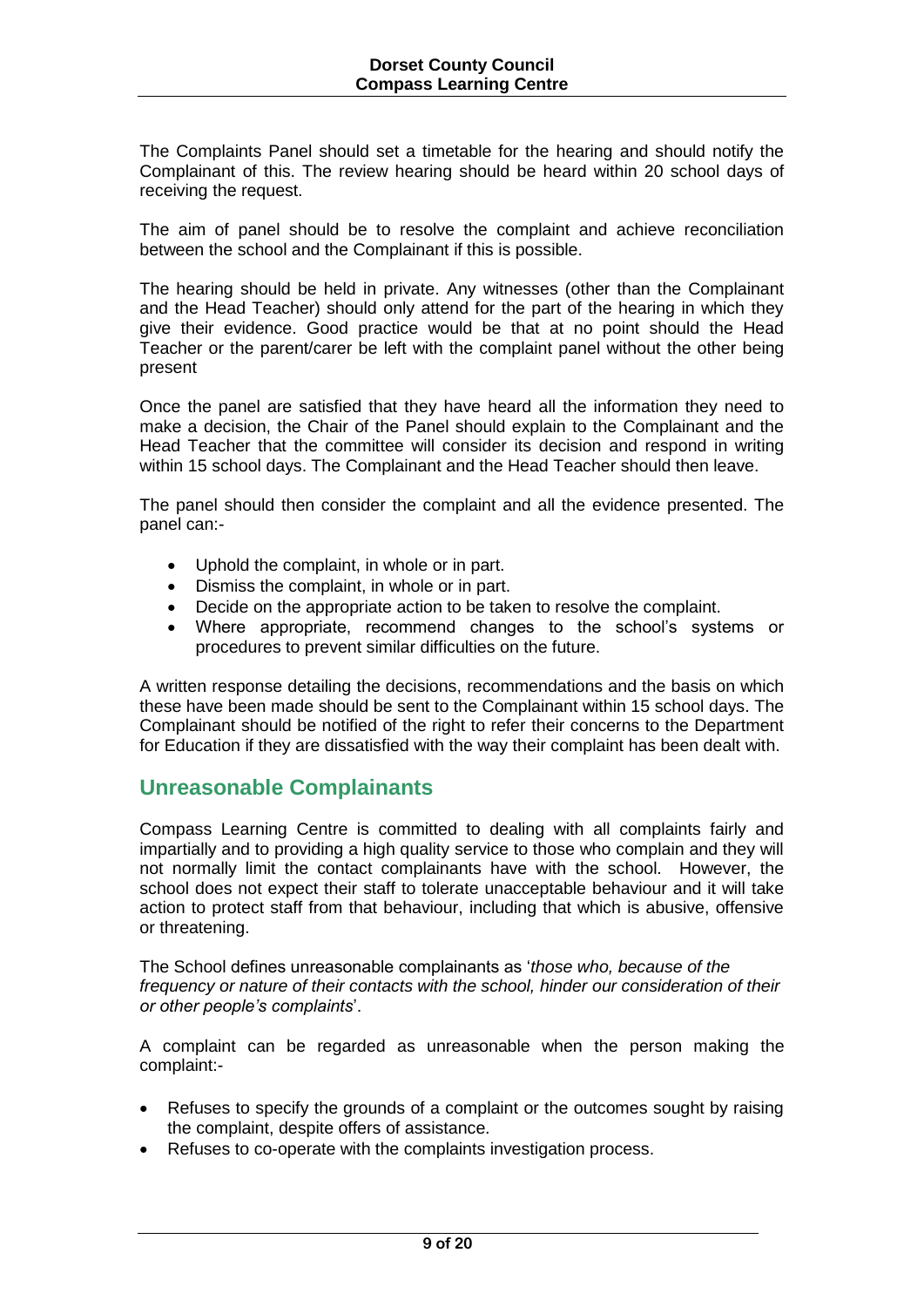The Complaints Panel should set a timetable for the hearing and should notify the Complainant of this. The review hearing should be heard within 20 school days of receiving the request.

The aim of panel should be to resolve the complaint and achieve reconciliation between the school and the Complainant if this is possible.

The hearing should be held in private. Any witnesses (other than the Complainant and the Head Teacher) should only attend for the part of the hearing in which they give their evidence. Good practice would be that at no point should the Head Teacher or the parent/carer be left with the complaint panel without the other being present

Once the panel are satisfied that they have heard all the information they need to make a decision, the Chair of the Panel should explain to the Complainant and the Head Teacher that the committee will consider its decision and respond in writing within 15 school days. The Complainant and the Head Teacher should then leave.

The panel should then consider the complaint and all the evidence presented. The panel can:-

- Uphold the complaint, in whole or in part.
- Dismiss the complaint, in whole or in part.
- Decide on the appropriate action to be taken to resolve the complaint.
- Where appropriate, recommend changes to the school's systems or procedures to prevent similar difficulties on the future.

A written response detailing the decisions, recommendations and the basis on which these have been made should be sent to the Complainant within 15 school days. The Complainant should be notified of the right to refer their concerns to the Department for Education if they are dissatisfied with the way their complaint has been dealt with.

## **Unreasonable Complainants**

Compass Learning Centre is committed to dealing with all complaints fairly and impartially and to providing a high quality service to those who complain and they will not normally limit the contact complainants have with the school. However, the school does not expect their staff to tolerate unacceptable behaviour and it will take action to protect staff from that behaviour, including that which is abusive, offensive or threatening.

The School defines unreasonable complainants as '*those who, because of the frequency or nature of their contacts with the school, hinder our consideration of their or other people's complaints*'.

A complaint can be regarded as unreasonable when the person making the complaint:-

- Refuses to specify the grounds of a complaint or the outcomes sought by raising the complaint, despite offers of assistance.
- Refuses to co-operate with the complaints investigation process.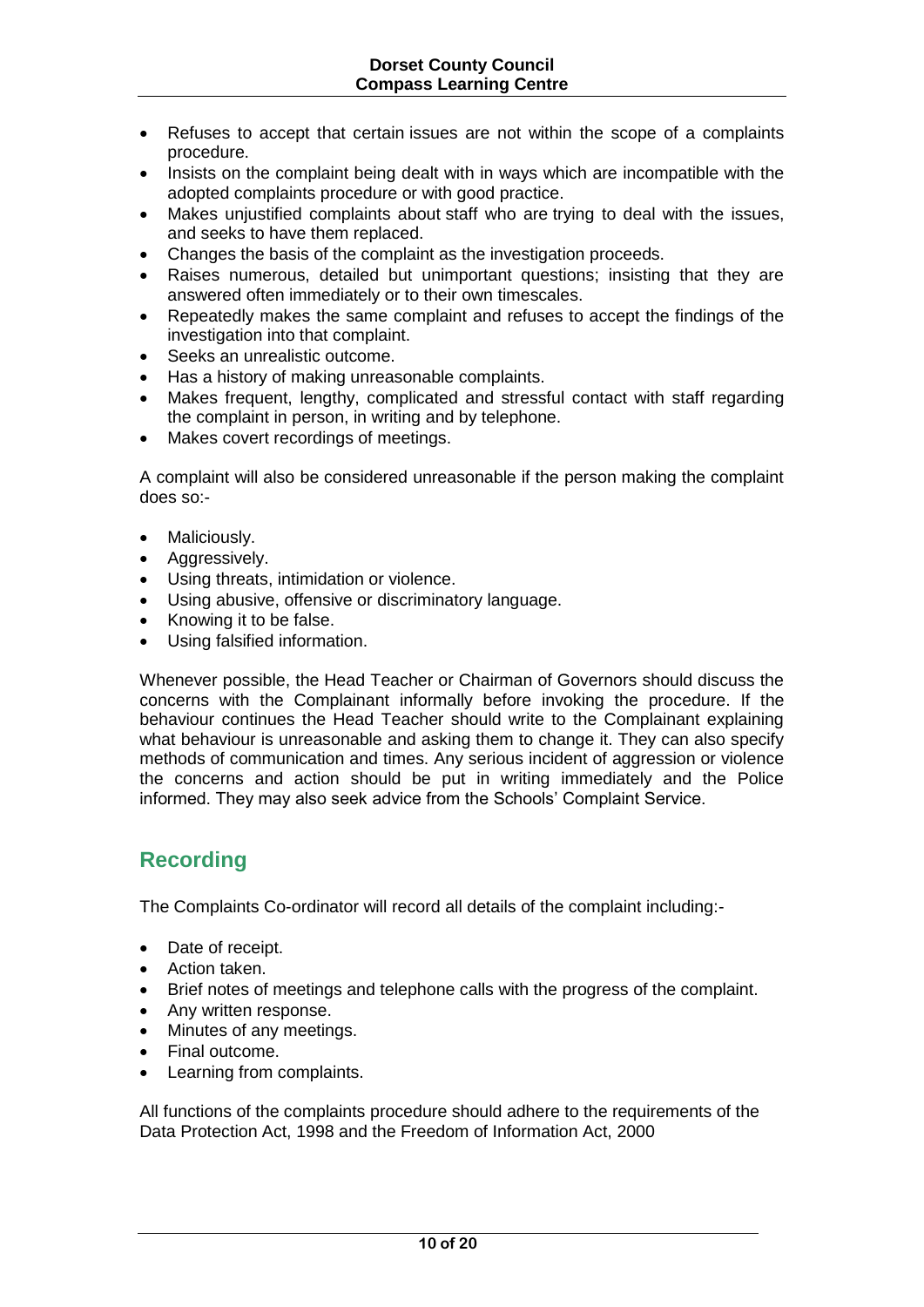- Refuses to accept that certain issues are not within the scope of a complaints procedure.
- Insists on the complaint being dealt with in ways which are incompatible with the adopted complaints procedure or with good practice.
- Makes unjustified complaints about staff who are trying to deal with the issues, and seeks to have them replaced.
- Changes the basis of the complaint as the investigation proceeds.
- Raises numerous, detailed but unimportant questions; insisting that they are answered often immediately or to their own timescales.
- Repeatedly makes the same complaint and refuses to accept the findings of the investigation into that complaint.
- Seeks an unrealistic outcome.
- Has a history of making unreasonable complaints.
- Makes frequent, lengthy, complicated and stressful contact with staff regarding the complaint in person, in writing and by telephone.
- Makes covert recordings of meetings.

A complaint will also be considered unreasonable if the person making the complaint does so:-

- Maliciously.
- Aggressively.
- Using threats, intimidation or violence.
- Using abusive, offensive or discriminatory language.
- Knowing it to be false.
- Using falsified information.

Whenever possible, the Head Teacher or Chairman of Governors should discuss the concerns with the Complainant informally before invoking the procedure. If the behaviour continues the Head Teacher should write to the Complainant explaining what behaviour is unreasonable and asking them to change it. They can also specify methods of communication and times. Any serious incident of aggression or violence the concerns and action should be put in writing immediately and the Police informed. They may also seek advice from the Schools' Complaint Service.

# **Recording**

The Complaints Co-ordinator will record all details of the complaint including:-

- Date of receipt.
- Action taken.
- Brief notes of meetings and telephone calls with the progress of the complaint.
- Any written response.
- Minutes of any meetings.
- Final outcome.
- Learning from complaints.

All functions of the complaints procedure should adhere to the requirements of the Data Protection Act, 1998 and the Freedom of Information Act, 2000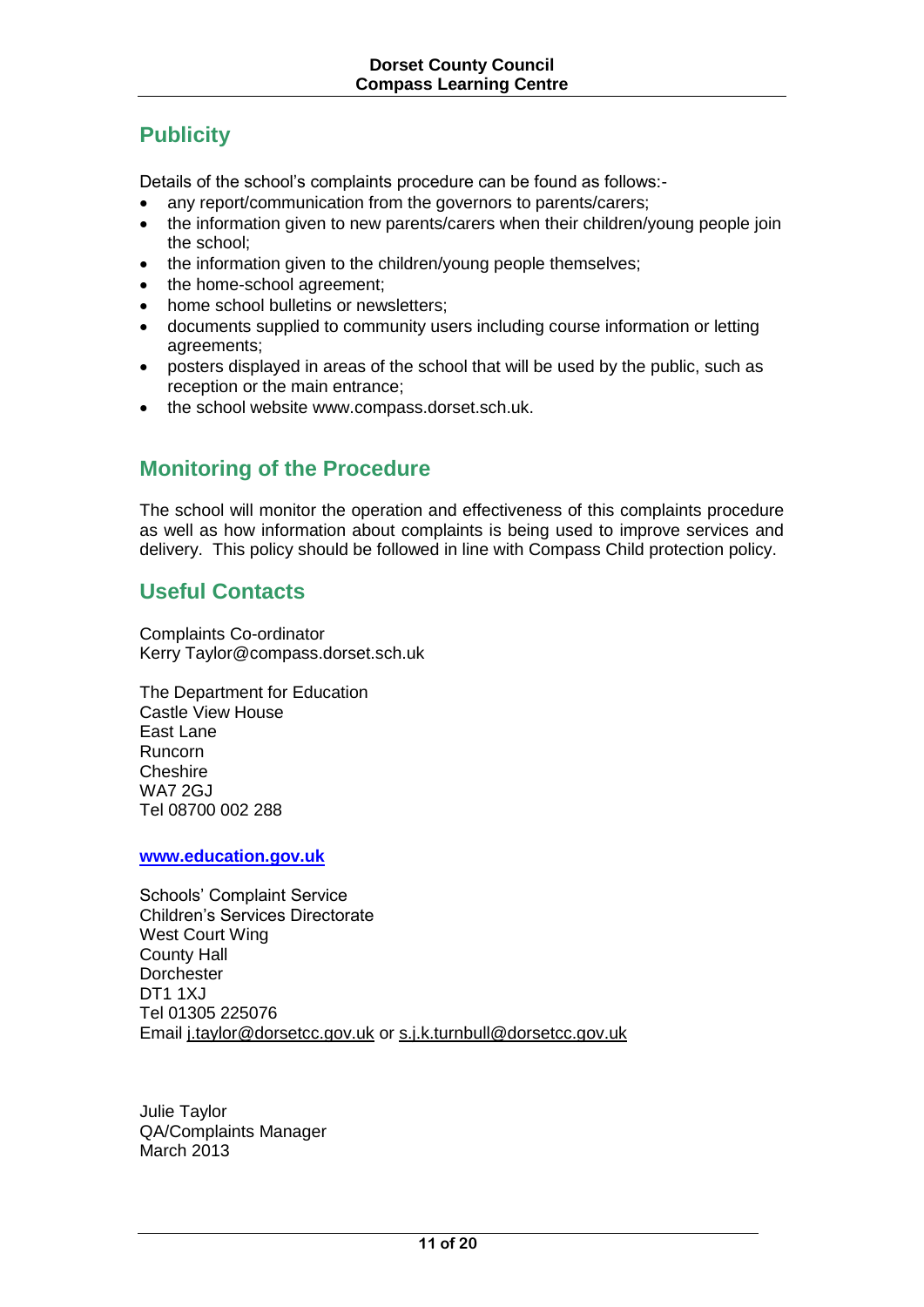# **Publicity**

Details of the school's complaints procedure can be found as follows:-

- any report/communication from the governors to parents/carers:
- the information given to new parents/carers when their children/young people join the school;
- the information given to the children/young people themselves;
- the home-school agreement;
- home school bulletins or newsletters;
- documents supplied to community users including course information or letting agreements;
- posters displayed in areas of the school that will be used by the public, such as reception or the main entrance;
- the school website www.compass.dorset.sch.uk.

# **Monitoring of the Procedure**

The school will monitor the operation and effectiveness of this complaints procedure as well as how information about complaints is being used to improve services and delivery. This policy should be followed in line with Compass Child protection policy.

# **Useful Contacts**

Complaints Co-ordinator Kerry Taylor@compass.dorset.sch.uk

The Department for Education Castle View House East Lane Runcorn **Cheshire** WA7 2GJ Tel 08700 002 288

**[www.education.gov.uk](http://www.education.gov.uk/)**

Schools' Complaint Service Children's Services Directorate West Court Wing County Hall **Dorchester** DT1 1XJ Tel 01305 225076 Email [j.taylor@dorsetcc.gov.uk](mailto:j.taylor@dorsetcc.gov.uk) or [s.j.k.turnbull@dorsetcc.gov.uk](mailto:s.j.k.turnbull@dorsetcc.gov.uk)

Julie Taylor QA/Complaints Manager March 2013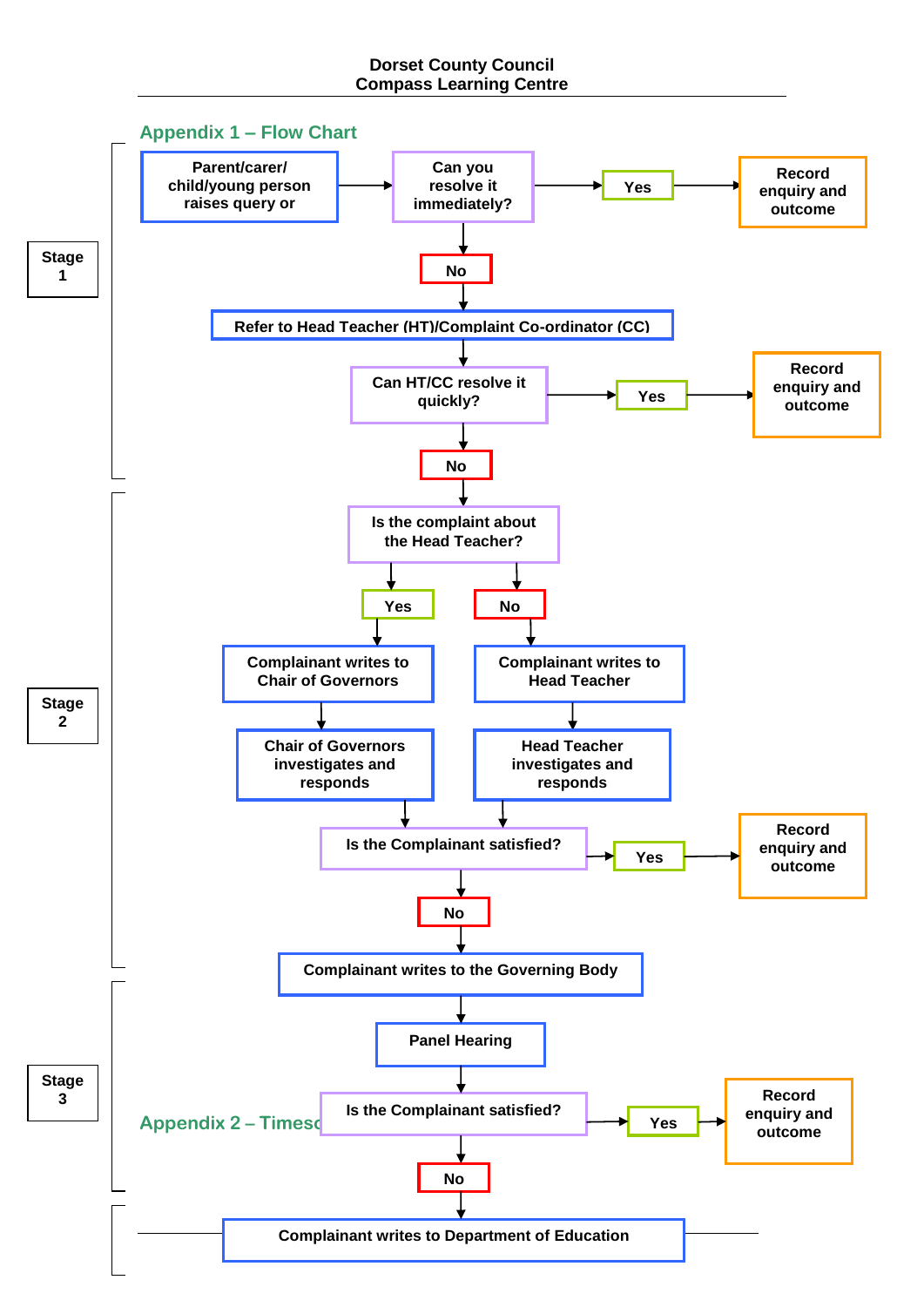### **Dorset County Council Compass Learning Centre**

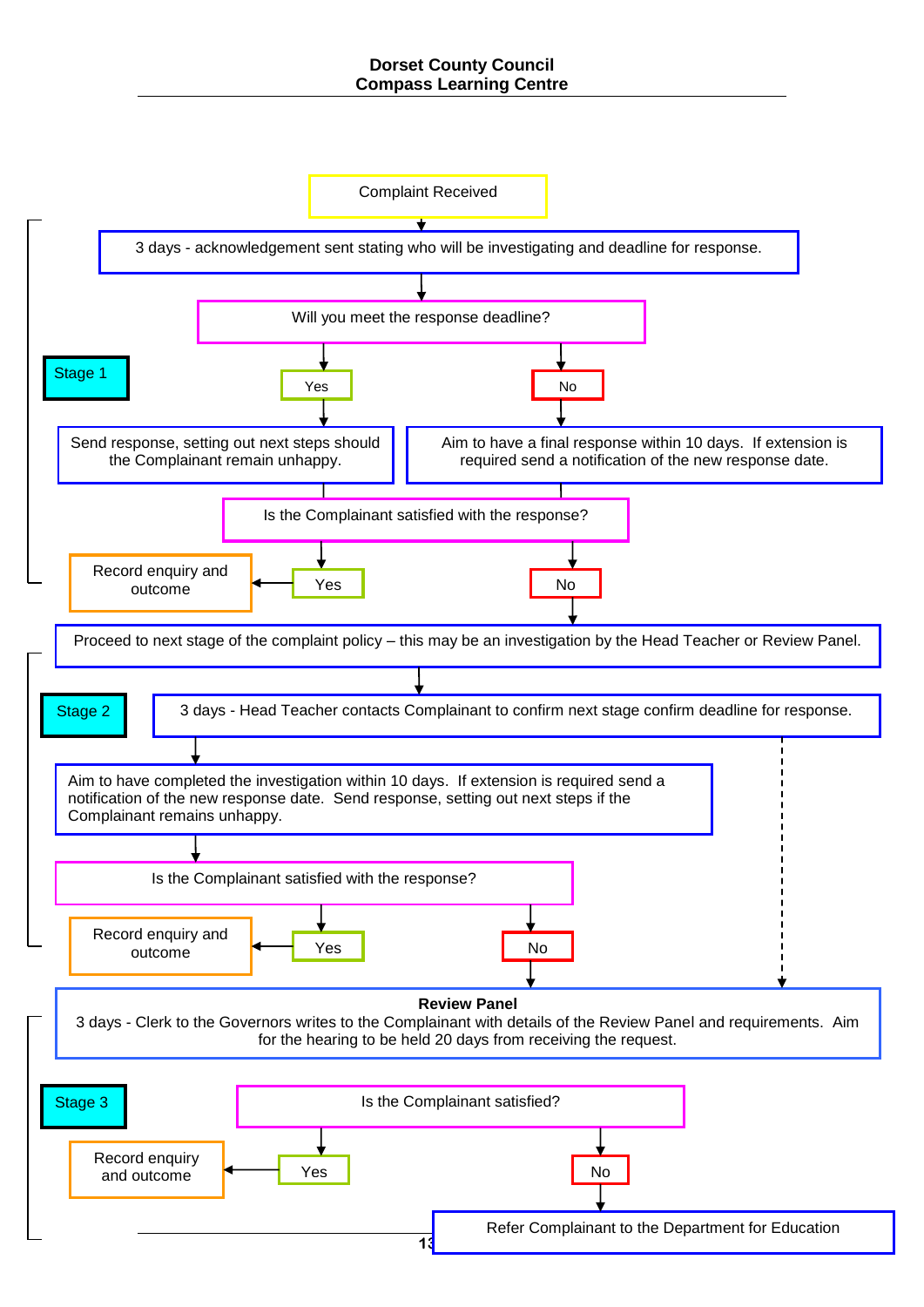### **Dorset County Council Compass Learning Centre**

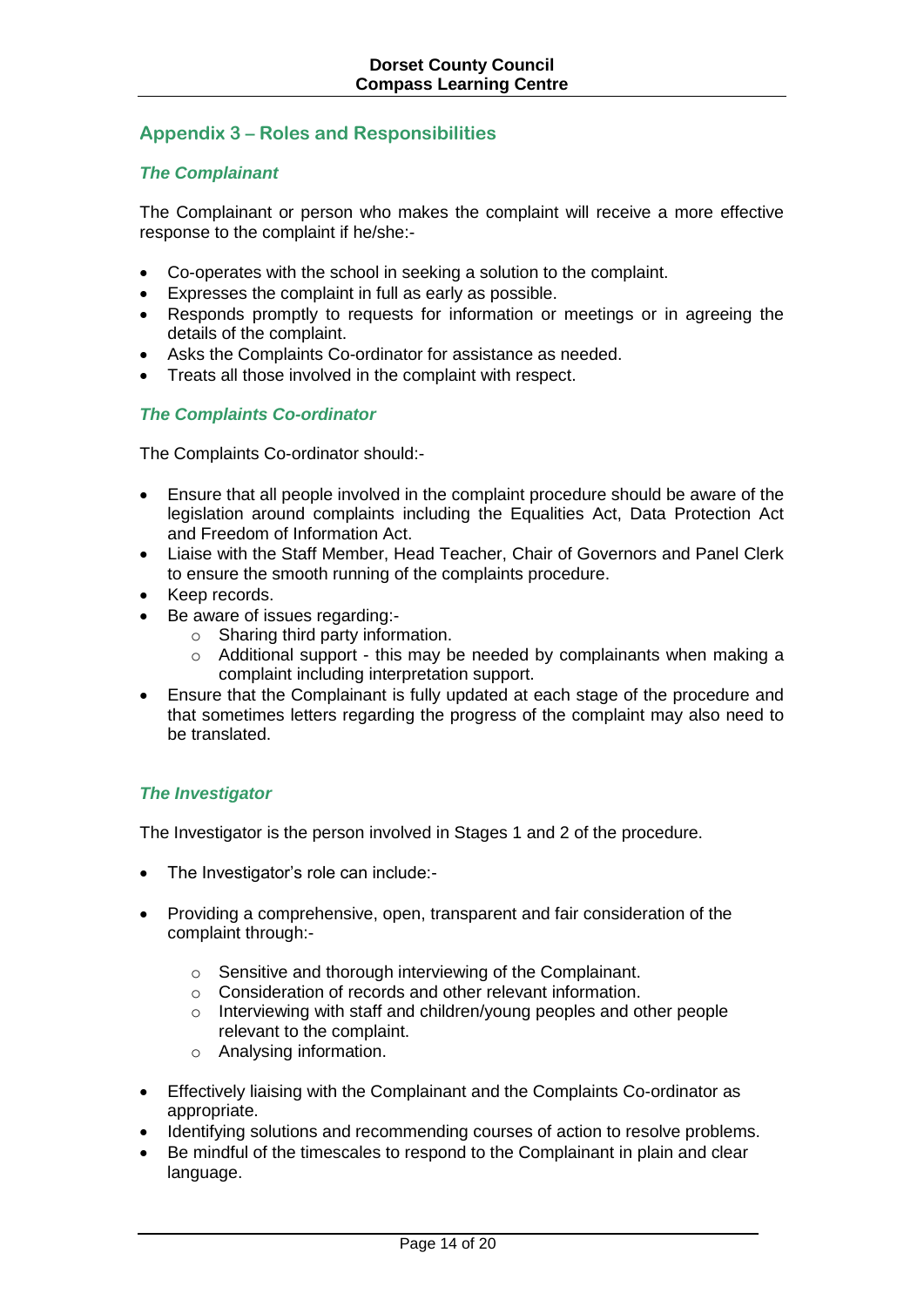### **Appendix 3 – Roles and Responsibilities**

### *The Complainant*

The Complainant or person who makes the complaint will receive a more effective response to the complaint if he/she:-

- Co-operates with the school in seeking a solution to the complaint.
- Expresses the complaint in full as early as possible.
- Responds promptly to requests for information or meetings or in agreeing the details of the complaint.
- Asks the Complaints Co-ordinator for assistance as needed.
- Treats all those involved in the complaint with respect.

### *The Complaints Co-ordinator*

The Complaints Co-ordinator should:-

- Ensure that all people involved in the complaint procedure should be aware of the legislation around complaints including the Equalities Act, Data Protection Act and Freedom of Information Act.
- Liaise with the Staff Member, Head Teacher, Chair of Governors and Panel Clerk to ensure the smooth running of the complaints procedure.
- Keep records.
- Be aware of issues regarding:
	- o Sharing third party information.
	- o Additional support this may be needed by complainants when making a complaint including interpretation support.
- Ensure that the Complainant is fully updated at each stage of the procedure and that sometimes letters regarding the progress of the complaint may also need to be translated.

### *The Investigator*

The Investigator is the person involved in Stages 1 and 2 of the procedure.

- The Investigator's role can include:-
- Providing a comprehensive, open, transparent and fair consideration of the complaint through:
	- o Sensitive and thorough interviewing of the Complainant.
	- o Consideration of records and other relevant information.
	- o Interviewing with staff and children/young peoples and other people relevant to the complaint.
	- o Analysing information.
- Effectively liaising with the Complainant and the Complaints Co-ordinator as appropriate.
- Identifying solutions and recommending courses of action to resolve problems.
- Be mindful of the timescales to respond to the Complainant in plain and clear language.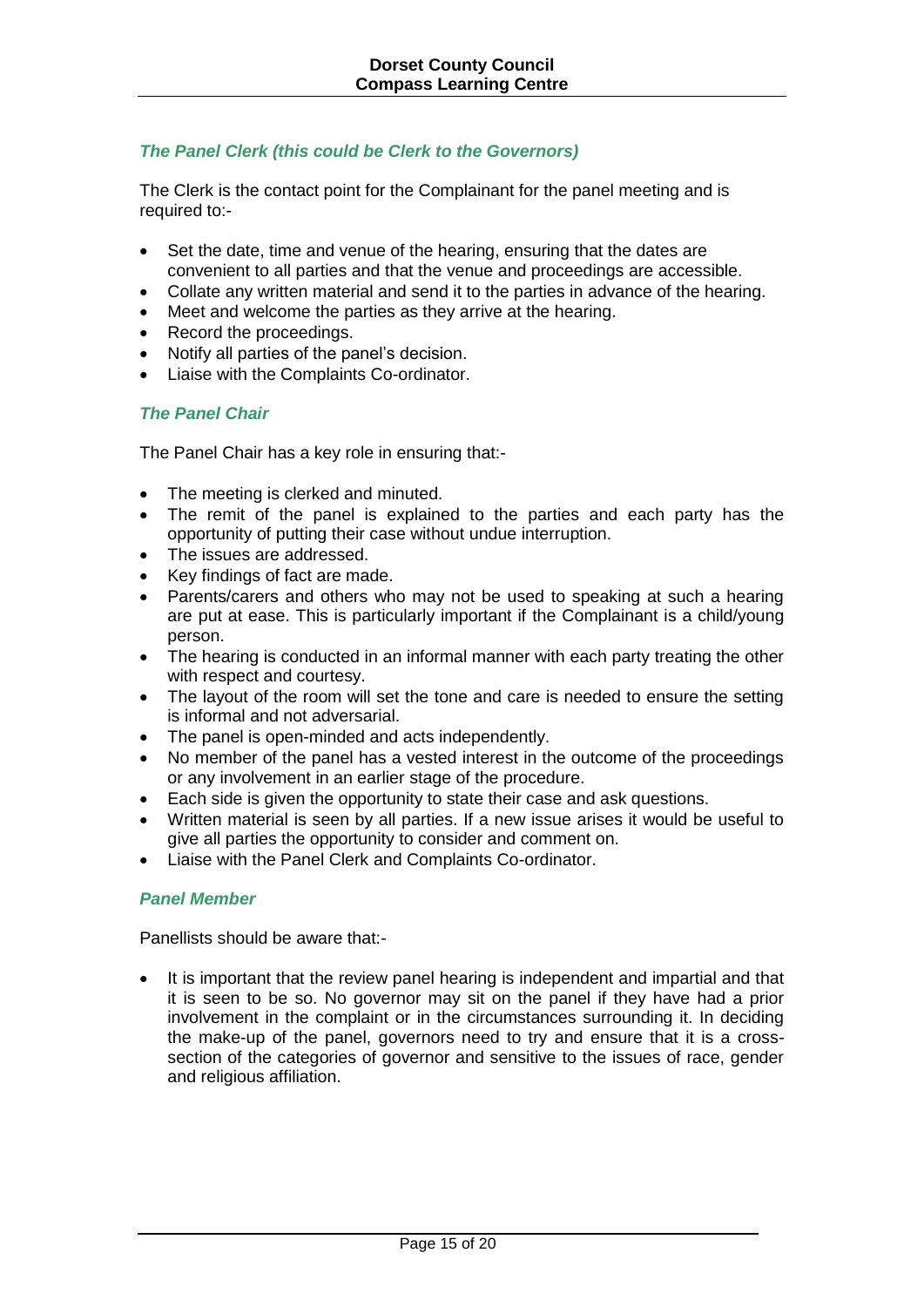### *The Panel Clerk (this could be Clerk to the Governors)*

The Clerk is the contact point for the Complainant for the panel meeting and is required to:-

- Set the date, time and venue of the hearing, ensuring that the dates are convenient to all parties and that the venue and proceedings are accessible.
- Collate any written material and send it to the parties in advance of the hearing.
- Meet and welcome the parties as they arrive at the hearing.
- Record the proceedings.
- Notify all parties of the panel's decision.
- Liaise with the Complaints Co-ordinator.

### *The Panel Chair*

The Panel Chair has a key role in ensuring that:-

- The meeting is clerked and minuted.
- The remit of the panel is explained to the parties and each party has the opportunity of putting their case without undue interruption.
- The issues are addressed.
- Key findings of fact are made.
- Parents/carers and others who may not be used to speaking at such a hearing are put at ease. This is particularly important if the Complainant is a child/young person.
- The hearing is conducted in an informal manner with each party treating the other with respect and courtesy.
- The layout of the room will set the tone and care is needed to ensure the setting is informal and not adversarial.
- The panel is open-minded and acts independently.
- No member of the panel has a vested interest in the outcome of the proceedings or any involvement in an earlier stage of the procedure.
- Each side is given the opportunity to state their case and ask questions.
- Written material is seen by all parties. If a new issue arises it would be useful to give all parties the opportunity to consider and comment on.
- Liaise with the Panel Clerk and Complaints Co-ordinator.

### *Panel Member*

Panellists should be aware that:-

 It is important that the review panel hearing is independent and impartial and that it is seen to be so. No governor may sit on the panel if they have had a prior involvement in the complaint or in the circumstances surrounding it. In deciding the make-up of the panel, governors need to try and ensure that it is a crosssection of the categories of governor and sensitive to the issues of race, gender and religious affiliation.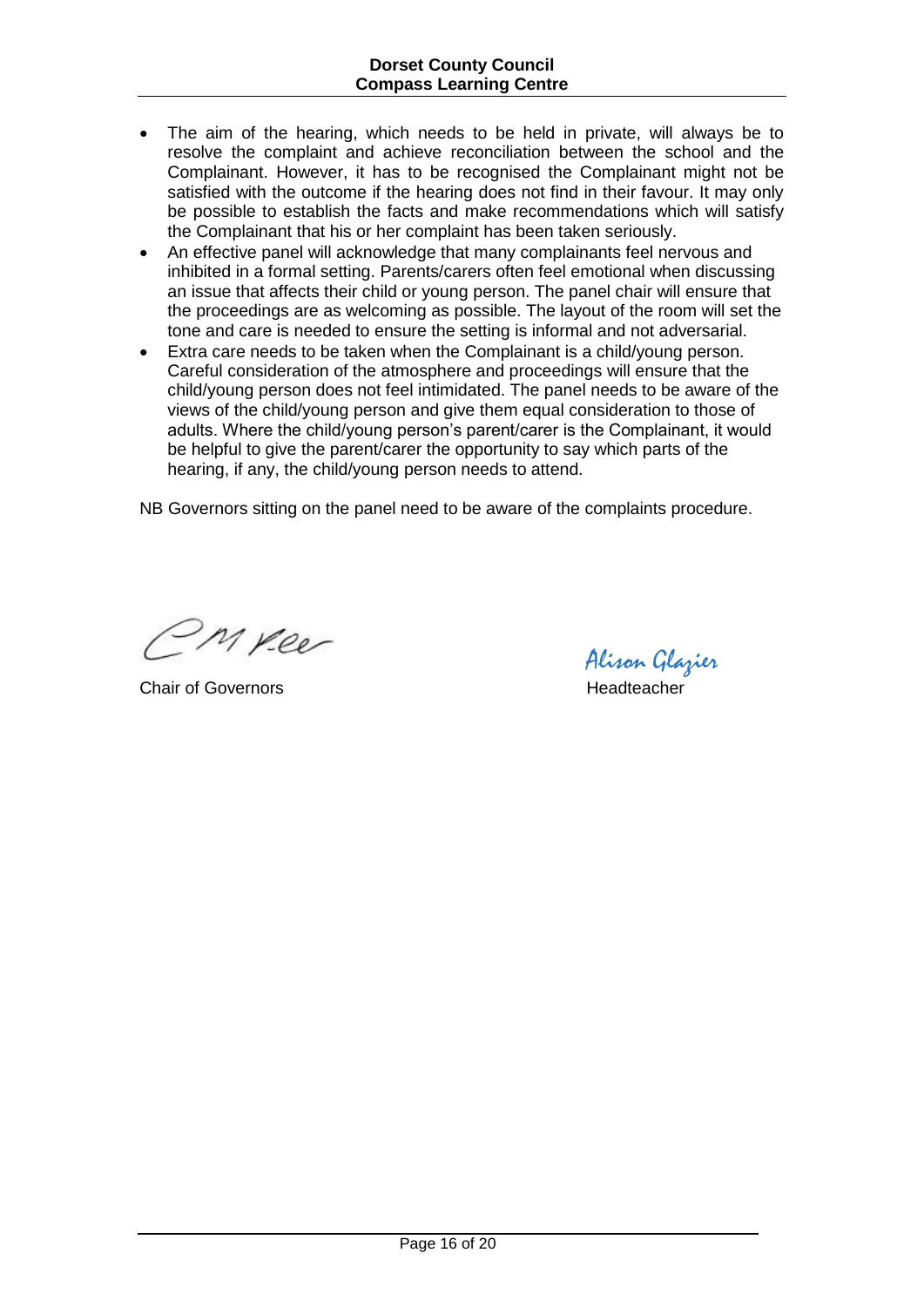- The aim of the hearing, which needs to be held in private, will always be to resolve the complaint and achieve reconciliation between the school and the Complainant. However, it has to be recognised the Complainant might not be satisfied with the outcome if the hearing does not find in their favour. It may only be possible to establish the facts and make recommendations which will satisfy the Complainant that his or her complaint has been taken seriously.
- An effective panel will acknowledge that many complainants feel nervous and inhibited in a formal setting. Parents/carers often feel emotional when discussing an issue that affects their child or young person. The panel chair will ensure that the proceedings are as welcoming as possible. The layout of the room will set the tone and care is needed to ensure the setting is informal and not adversarial.
- Extra care needs to be taken when the Complainant is a child/young person. Careful consideration of the atmosphere and proceedings will ensure that the child/young person does not feel intimidated. The panel needs to be aware of the views of the child/young person and give them equal consideration to those of adults. Where the child/young person's parent/carer is the Complainant, it would be helpful to give the parent/carer the opportunity to say which parts of the hearing, if any, the child/young person needs to attend.

NB Governors sitting on the panel need to be aware of the complaints procedure.

Myeer

Chair of Governors **Headteacher** Headteacher

Alison Glazier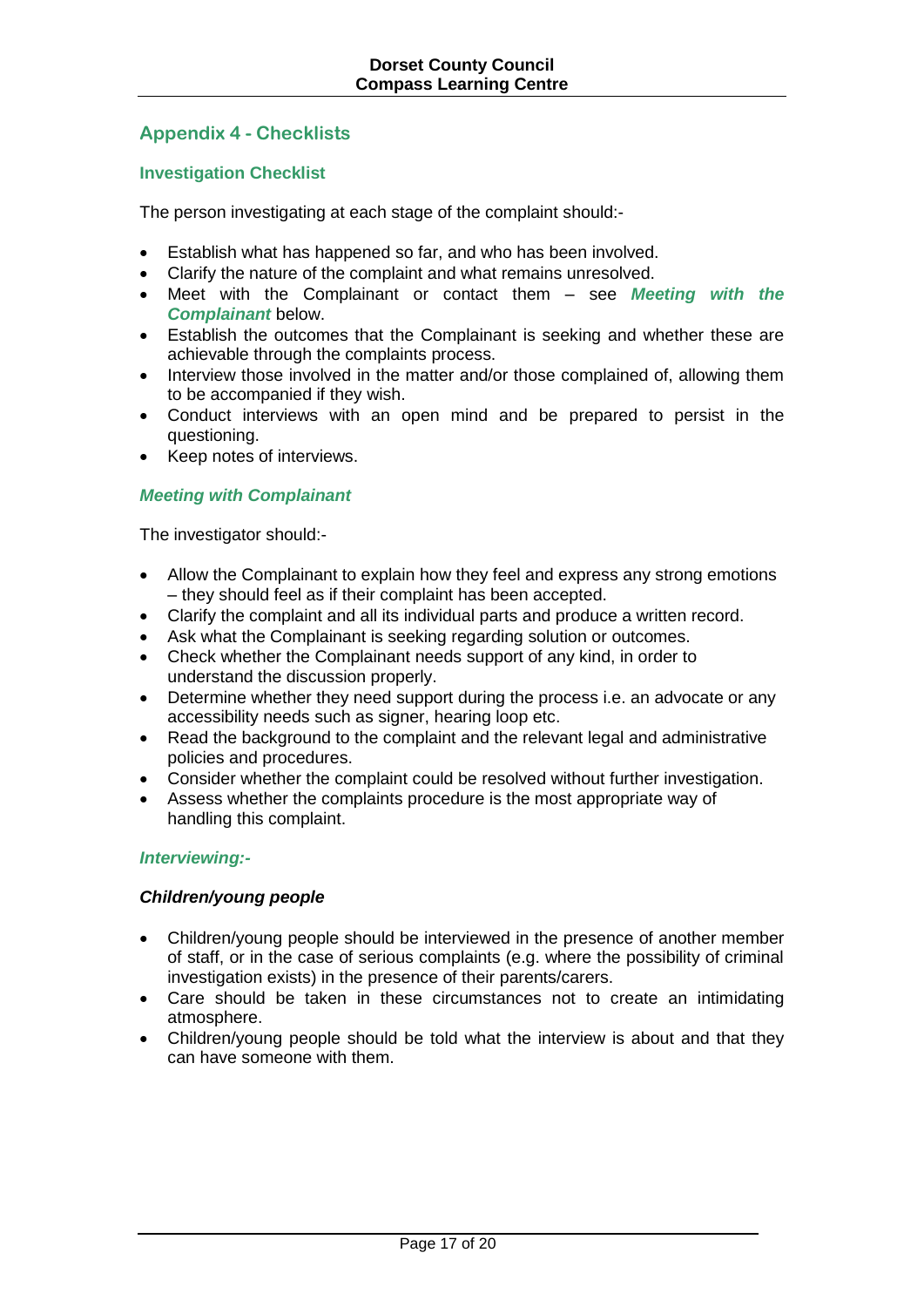## **Appendix 4 - Checklists**

### **Investigation Checklist**

The person investigating at each stage of the complaint should:-

- Establish what has happened so far, and who has been involved.
- Clarify the nature of the complaint and what remains unresolved.
- Meet with the Complainant or contact them see *Meeting with the Complainant* below.
- Establish the outcomes that the Complainant is seeking and whether these are achievable through the complaints process.
- Interview those involved in the matter and/or those complained of, allowing them to be accompanied if they wish.
- Conduct interviews with an open mind and be prepared to persist in the questioning.
- Keep notes of interviews.

#### *Meeting with Complainant*

The investigator should:-

- Allow the Complainant to explain how they feel and express any strong emotions – they should feel as if their complaint has been accepted.
- Clarify the complaint and all its individual parts and produce a written record.
- Ask what the Complainant is seeking regarding solution or outcomes.
- Check whether the Complainant needs support of any kind, in order to understand the discussion properly.
- Determine whether they need support during the process i.e. an advocate or any accessibility needs such as signer, hearing loop etc.
- Read the background to the complaint and the relevant legal and administrative policies and procedures.
- Consider whether the complaint could be resolved without further investigation.
- Assess whether the complaints procedure is the most appropriate way of handling this complaint.

#### *Interviewing:-*

#### *Children/young people*

- Children/young people should be interviewed in the presence of another member of staff, or in the case of serious complaints (e.g. where the possibility of criminal investigation exists) in the presence of their parents/carers.
- Care should be taken in these circumstances not to create an intimidating atmosphere.
- Children/young people should be told what the interview is about and that they can have someone with them.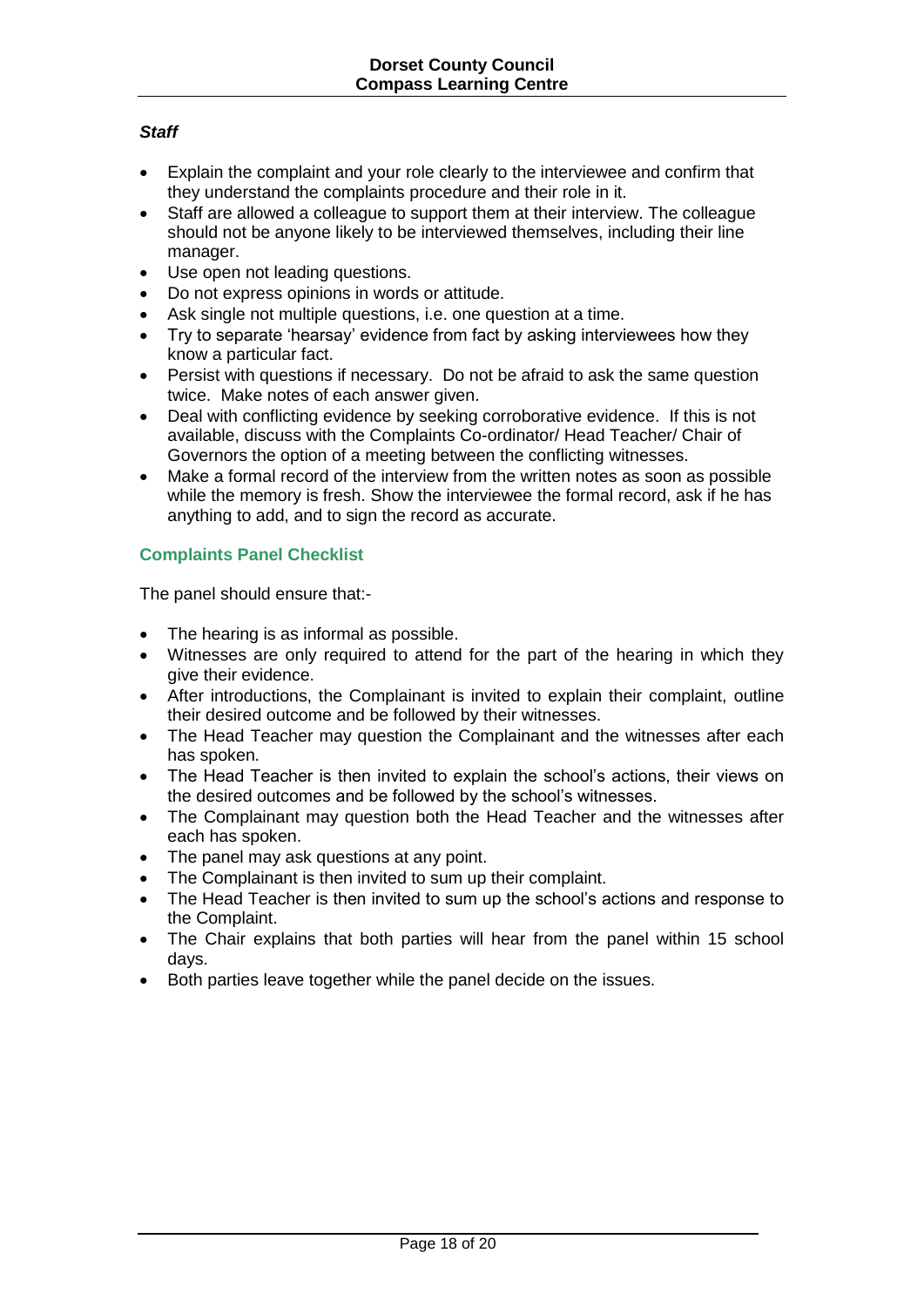### *Staff*

- Explain the complaint and your role clearly to the interviewee and confirm that they understand the complaints procedure and their role in it.
- Staff are allowed a colleague to support them at their interview. The colleague should not be anyone likely to be interviewed themselves, including their line manager.
- Use open not leading questions.
- Do not express opinions in words or attitude.
- Ask single not multiple questions, i.e. one question at a time.
- Try to separate 'hearsay' evidence from fact by asking interviewees how they know a particular fact.
- Persist with questions if necessary. Do not be afraid to ask the same question twice. Make notes of each answer given.
- Deal with conflicting evidence by seeking corroborative evidence. If this is not available, discuss with the Complaints Co-ordinator/ Head Teacher/ Chair of Governors the option of a meeting between the conflicting witnesses.
- Make a formal record of the interview from the written notes as soon as possible while the memory is fresh. Show the interviewee the formal record, ask if he has anything to add, and to sign the record as accurate.

### **Complaints Panel Checklist**

The panel should ensure that:-

- The hearing is as informal as possible.
- Witnesses are only required to attend for the part of the hearing in which they give their evidence.
- After introductions, the Complainant is invited to explain their complaint, outline their desired outcome and be followed by their witnesses.
- The Head Teacher may question the Complainant and the witnesses after each has spoken.
- The Head Teacher is then invited to explain the school's actions, their views on the desired outcomes and be followed by the school's witnesses.
- The Complainant may question both the Head Teacher and the witnesses after each has spoken.
- The panel may ask questions at any point.
- The Complainant is then invited to sum up their complaint.
- The Head Teacher is then invited to sum up the school's actions and response to the Complaint.
- The Chair explains that both parties will hear from the panel within 15 school days.
- Both parties leave together while the panel decide on the issues.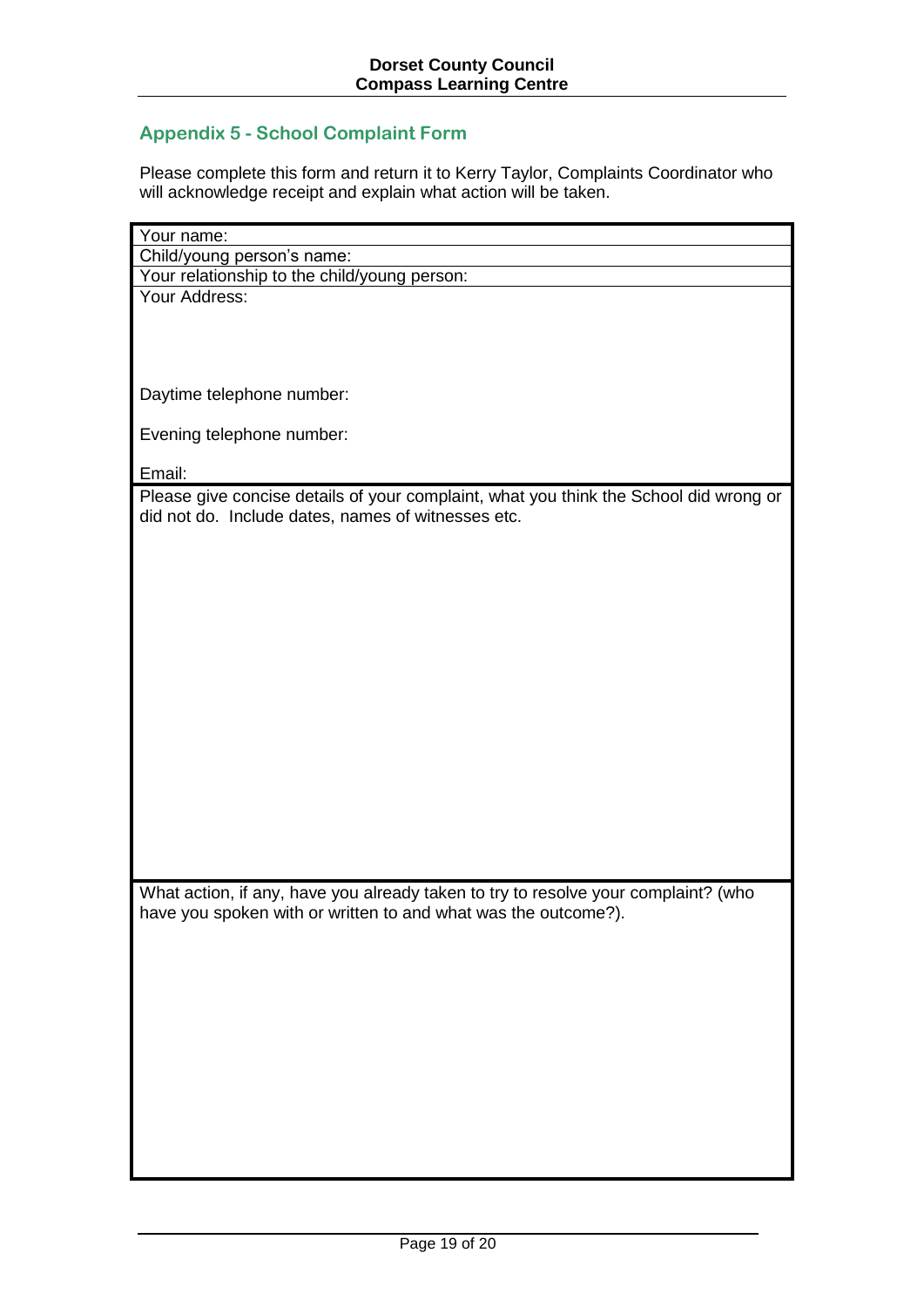# **Appendix 5 - School Complaint Form**

Please complete this form and return it to Kerry Taylor, Complaints Coordinator who will acknowledge receipt and explain what action will be taken.

| Your name:                                                                                                                                           |
|------------------------------------------------------------------------------------------------------------------------------------------------------|
| Child/young person's name:                                                                                                                           |
| Your relationship to the child/young person:                                                                                                         |
| Your Address:                                                                                                                                        |
|                                                                                                                                                      |
|                                                                                                                                                      |
|                                                                                                                                                      |
|                                                                                                                                                      |
| Daytime telephone number:                                                                                                                            |
|                                                                                                                                                      |
| Evening telephone number:                                                                                                                            |
| Email:                                                                                                                                               |
|                                                                                                                                                      |
| Please give concise details of your complaint, what you think the School did wrong or<br>did not do. Include dates, names of witnesses etc.          |
|                                                                                                                                                      |
|                                                                                                                                                      |
|                                                                                                                                                      |
|                                                                                                                                                      |
|                                                                                                                                                      |
|                                                                                                                                                      |
|                                                                                                                                                      |
|                                                                                                                                                      |
|                                                                                                                                                      |
|                                                                                                                                                      |
|                                                                                                                                                      |
|                                                                                                                                                      |
|                                                                                                                                                      |
|                                                                                                                                                      |
|                                                                                                                                                      |
|                                                                                                                                                      |
|                                                                                                                                                      |
|                                                                                                                                                      |
| What action, if any, have you already taken to try to resolve your complaint? (who<br>have you spoken with or written to and what was the outcome?). |
|                                                                                                                                                      |
|                                                                                                                                                      |
|                                                                                                                                                      |
|                                                                                                                                                      |
|                                                                                                                                                      |
|                                                                                                                                                      |
|                                                                                                                                                      |
|                                                                                                                                                      |
|                                                                                                                                                      |
|                                                                                                                                                      |
|                                                                                                                                                      |
|                                                                                                                                                      |
|                                                                                                                                                      |